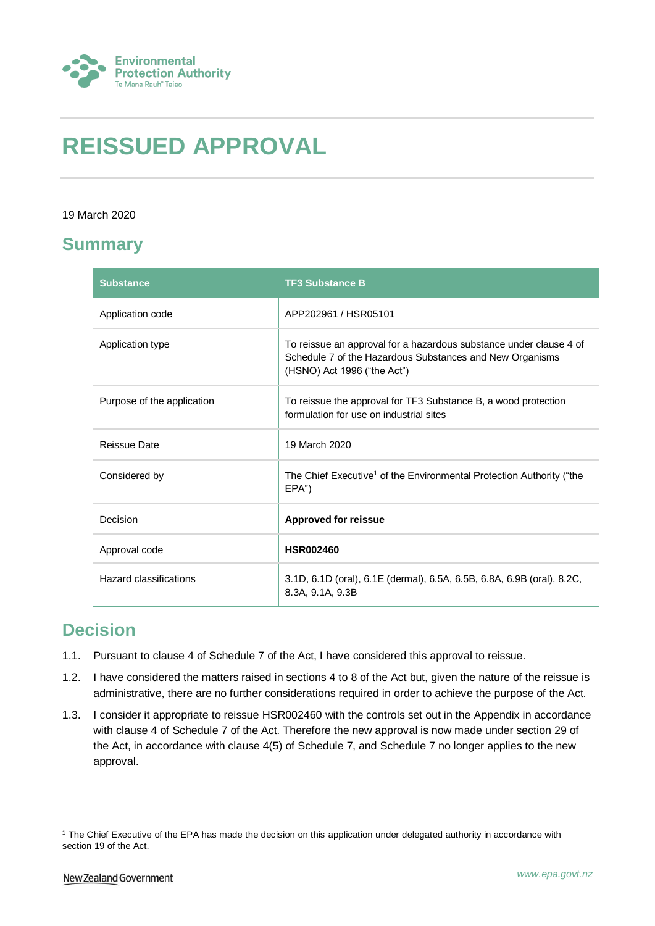

# **REISSUED APPROVAL**

### 19 March 2020

# **Summary**

| <b>Substance</b>           | <b>TF3 Substance B</b>                                                                                                                                        |
|----------------------------|---------------------------------------------------------------------------------------------------------------------------------------------------------------|
| Application code           | APP202961 / HSR05101                                                                                                                                          |
| Application type           | To reissue an approval for a hazardous substance under clause 4 of<br>Schedule 7 of the Hazardous Substances and New Organisms<br>(HSNO) Act 1996 ("the Act") |
| Purpose of the application | To reissue the approval for TF3 Substance B, a wood protection<br>formulation for use on industrial sites                                                     |
| <b>Reissue Date</b>        | 19 March 2020                                                                                                                                                 |
| Considered by              | The Chief Executive <sup>1</sup> of the Environmental Protection Authority ("the<br>EPA")                                                                     |
| Decision                   | <b>Approved for reissue</b>                                                                                                                                   |
| Approval code              | <b>HSR002460</b>                                                                                                                                              |
| Hazard classifications     | 3.1D, 6.1D (oral), 6.1E (dermal), 6.5A, 6.5B, 6.8A, 6.9B (oral), 8.2C,<br>8.3A, 9.1A, 9.3B                                                                    |

# **Decision**

- 1.1. Pursuant to clause 4 of Schedule 7 of the Act, I have considered this approval to reissue.
- 1.2. I have considered the matters raised in sections 4 to 8 of the Act but, given the nature of the reissue is administrative, there are no further considerations required in order to achieve the purpose of the Act.
- 1.3. I consider it appropriate to reissue HSR002460 with the controls set out in the Appendix in accordance with clause 4 of Schedule 7 of the Act. Therefore the new approval is now made under section 29 of the Act, in accordance with clause 4(5) of Schedule 7, and Schedule 7 no longer applies to the new approval.

<sup>1</sup> <sup>1</sup> The Chief Executive of the EPA has made the decision on this application under delegated authority in accordance with section 19 of the Act.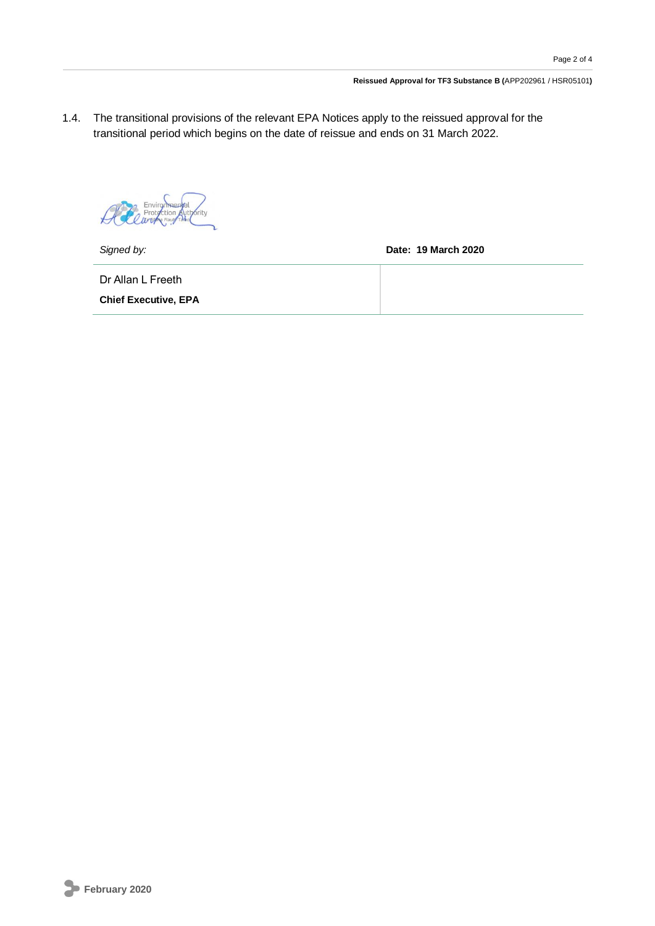#### **Reissued Approval for TF3 Substance B (**APP202961 / HSR05101**)**

1.4. The transitional provisions of the relevant EPA Notices apply to the reissued approval for the transitional period which begins on the date of reissue and ends on 31 March 2022.

Prot brity tion  $\cancel{t}$ 

*Signed by:* **Date: 19 March 2020**

Dr Allan L Freeth

**Chief Executive, EPA**

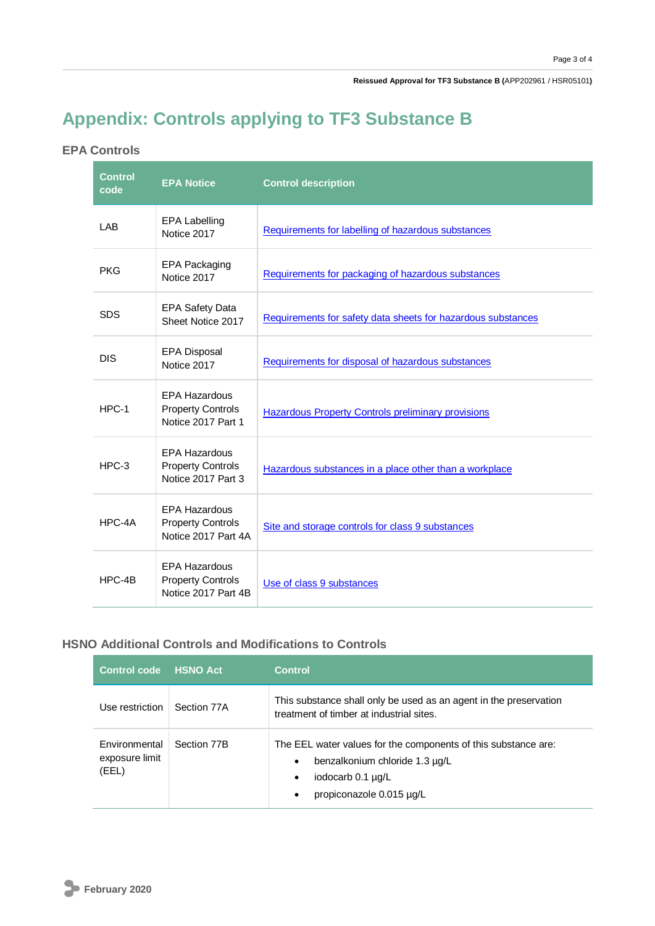**Reissued Approval for TF3 Substance B (**APP202961 / HSR05101**)**

# **Appendix: Controls applying to TF3 Substance B**

## **EPA Controls**

| <b>Control</b><br>code | <b>EPA Notice</b>                                                       | <b>Control description</b>                                   |
|------------------------|-------------------------------------------------------------------------|--------------------------------------------------------------|
| LAB                    | <b>EPA Labelling</b><br>Notice 2017                                     | Requirements for labelling of hazardous substances           |
| <b>PKG</b>             | EPA Packaging<br>Notice 2017                                            | Requirements for packaging of hazardous substances           |
| <b>SDS</b>             | <b>EPA Safety Data</b><br>Sheet Notice 2017                             | Requirements for safety data sheets for hazardous substances |
| <b>DIS</b>             | <b>EPA Disposal</b><br>Notice 2017                                      | Requirements for disposal of hazardous substances            |
| $HPC-1$                | <b>EPA Hazardous</b><br><b>Property Controls</b><br>Notice 2017 Part 1  | <b>Hazardous Property Controls preliminary provisions</b>    |
| $HPC-3$                | <b>EPA Hazardous</b><br><b>Property Controls</b><br>Notice 2017 Part 3  | Hazardous substances in a place other than a workplace       |
| HPC-4A                 | <b>EPA Hazardous</b><br><b>Property Controls</b><br>Notice 2017 Part 4A | Site and storage controls for class 9 substances             |
| HPC-4B                 | <b>EPA Hazardous</b><br><b>Property Controls</b><br>Notice 2017 Part 4B | Use of class 9 substances                                    |

## **HSNO Additional Controls and Modifications to Controls**

| <b>Control code</b>                      | <b>HSNO Act</b> | <b>Control</b>                                                                                                                                                                           |
|------------------------------------------|-----------------|------------------------------------------------------------------------------------------------------------------------------------------------------------------------------------------|
| Use restriction                          | Section 77A     | This substance shall only be used as an agent in the preservation<br>treatment of timber at industrial sites.                                                                            |
| Environmental<br>exposure limit<br>(EEL) | Section 77B     | The EEL water values for the components of this substance are:<br>benzalkonium chloride 1.3 µg/L<br>$\bullet$<br>iodocarb 0.1 µg/L<br>$\bullet$<br>propiconazole 0.015 µg/L<br>$\bullet$ |